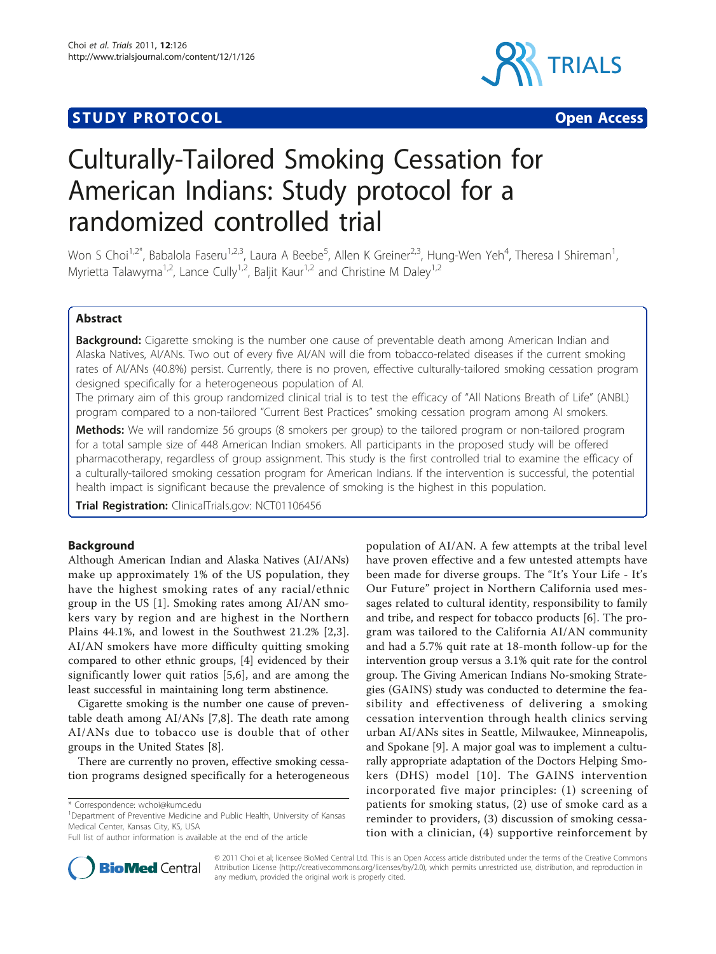## **STUDY PROTOCOL CONSUMING THE CONSUMING OPEN ACCESS**



# Culturally-Tailored Smoking Cessation for American Indians: Study protocol for a randomized controlled trial

Won S Choi<sup>1,2\*</sup>, Babalola Faseru<sup>1,2,3</sup>, Laura A Beebe<sup>5</sup>, Allen K Greiner<sup>2,3</sup>, Hung-Wen Yeh<sup>4</sup>, Theresa I Shireman<sup>1</sup> , Myrietta Talawyma<sup>1,2</sup>, Lance Cully<sup>1,2</sup>, Baljit Kaur<sup>1,2</sup> and Christine M Daley<sup>1,2</sup>

## Abstract

**Background:** Cigarette smoking is the number one cause of preventable death among American Indian and Alaska Natives, AI/ANs. Two out of every five AI/AN will die from tobacco-related diseases if the current smoking rates of AI/ANs (40.8%) persist. Currently, there is no proven, effective culturally-tailored smoking cessation program designed specifically for a heterogeneous population of AI.

The primary aim of this group randomized clinical trial is to test the efficacy of "All Nations Breath of Life" (ANBL) program compared to a non-tailored "Current Best Practices" smoking cessation program among AI smokers.

**Methods:** We will randomize 56 groups (8 smokers per group) to the tailored program or non-tailored program for a total sample size of 448 American Indian smokers. All participants in the proposed study will be offered pharmacotherapy, regardless of group assignment. This study is the first controlled trial to examine the efficacy of a culturally-tailored smoking cessation program for American Indians. If the intervention is successful, the potential health impact is significant because the prevalence of smoking is the highest in this population.

Trial Registration: ClinicalTrials.gov: [NCT01106456](http://www.clinicaltrials.gov/ct2/show/NCT01106456)

## Background

Although American Indian and Alaska Natives (AI/ANs) make up approximately 1% of the US population, they have the highest smoking rates of any racial/ethnic group in the US [[1\]](#page-8-0). Smoking rates among AI/AN smokers vary by region and are highest in the Northern Plains 44.1%, and lowest in the Southwest 21.2% [[2,3](#page-8-0)]. AI/AN smokers have more difficulty quitting smoking compared to other ethnic groups, [[4\]](#page-8-0) evidenced by their significantly lower quit ratios [[5,6\]](#page-8-0), and are among the least successful in maintaining long term abstinence.

Cigarette smoking is the number one cause of preventable death among AI/ANs [\[7](#page-9-0),[8\]](#page-9-0). The death rate among AI/ANs due to tobacco use is double that of other groups in the United States [\[8\]](#page-9-0).

There are currently no proven, effective smoking cessation programs designed specifically for a heterogeneous

Full list of author information is available at the end of the article





© 2011 Choi et al; licensee BioMed Central Ltd. This is an Open Access article distributed under the terms of the Creative Commons Attribution License [\(http://creativecommons.org/licenses/by/2.0](http://creativecommons.org/licenses/by/2.0)), which permits unrestricted use, distribution, and reproduction in any medium, provided the original work is properly cited.

<sup>\*</sup> Correspondence: [wchoi@kumc.edu](mailto:wchoi@kumc.edu)

<sup>&</sup>lt;sup>1</sup>Department of Preventive Medicine and Public Health, University of Kansas Medical Center, Kansas City, KS, USA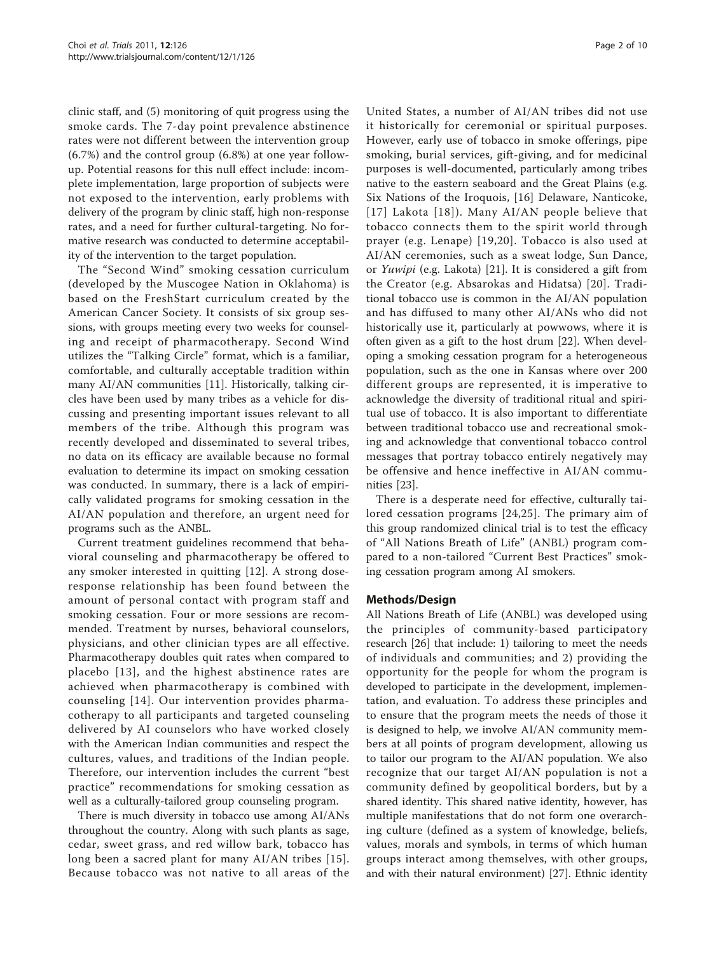clinic staff, and (5) monitoring of quit progress using the smoke cards. The 7-day point prevalence abstinence rates were not different between the intervention group (6.7%) and the control group (6.8%) at one year followup. Potential reasons for this null effect include: incomplete implementation, large proportion of subjects were not exposed to the intervention, early problems with delivery of the program by clinic staff, high non-response rates, and a need for further cultural-targeting. No formative research was conducted to determine acceptability of the intervention to the target population.

The "Second Wind" smoking cessation curriculum (developed by the Muscogee Nation in Oklahoma) is based on the FreshStart curriculum created by the American Cancer Society. It consists of six group sessions, with groups meeting every two weeks for counseling and receipt of pharmacotherapy. Second Wind utilizes the "Talking Circle" format, which is a familiar, comfortable, and culturally acceptable tradition within many AI/AN communities [[11\]](#page-9-0). Historically, talking circles have been used by many tribes as a vehicle for discussing and presenting important issues relevant to all members of the tribe. Although this program was recently developed and disseminated to several tribes, no data on its efficacy are available because no formal evaluation to determine its impact on smoking cessation was conducted. In summary, there is a lack of empirically validated programs for smoking cessation in the AI/AN population and therefore, an urgent need for programs such as the ANBL.

Current treatment guidelines recommend that behavioral counseling and pharmacotherapy be offered to any smoker interested in quitting [\[12](#page-9-0)]. A strong doseresponse relationship has been found between the amount of personal contact with program staff and smoking cessation. Four or more sessions are recommended. Treatment by nurses, behavioral counselors, physicians, and other clinician types are all effective. Pharmacotherapy doubles quit rates when compared to placebo [[13](#page-9-0)], and the highest abstinence rates are achieved when pharmacotherapy is combined with counseling [[14](#page-9-0)]. Our intervention provides pharmacotherapy to all participants and targeted counseling delivered by AI counselors who have worked closely with the American Indian communities and respect the cultures, values, and traditions of the Indian people. Therefore, our intervention includes the current "best practice" recommendations for smoking cessation as well as a culturally-tailored group counseling program.

There is much diversity in tobacco use among AI/ANs throughout the country. Along with such plants as sage, cedar, sweet grass, and red willow bark, tobacco has long been a sacred plant for many AI/AN tribes [[15](#page-9-0)]. Because tobacco was not native to all areas of the

United States, a number of AI/AN tribes did not use it historically for ceremonial or spiritual purposes. However, early use of tobacco in smoke offerings, pipe smoking, burial services, gift-giving, and for medicinal purposes is well-documented, particularly among tribes native to the eastern seaboard and the Great Plains (e.g. Six Nations of the Iroquois, [[16](#page-9-0)] Delaware, Nanticoke, [[17](#page-9-0)] Lakota [[18](#page-9-0)]). Many AI/AN people believe that tobacco connects them to the spirit world through prayer (e.g. Lenape) [[19](#page-9-0),[20](#page-9-0)]. Tobacco is also used at AI/AN ceremonies, such as a sweat lodge, Sun Dance, or Yuwipi (e.g. Lakota) [\[21](#page-9-0)]. It is considered a gift from the Creator (e.g. Absarokas and Hidatsa) [\[20\]](#page-9-0). Traditional tobacco use is common in the AI/AN population and has diffused to many other AI/ANs who did not historically use it, particularly at powwows, where it is often given as a gift to the host drum [\[22\]](#page-9-0). When developing a smoking cessation program for a heterogeneous population, such as the one in Kansas where over 200 different groups are represented, it is imperative to acknowledge the diversity of traditional ritual and spiritual use of tobacco. It is also important to differentiate between traditional tobacco use and recreational smoking and acknowledge that conventional tobacco control messages that portray tobacco entirely negatively may be offensive and hence ineffective in AI/AN communities [[23\]](#page-9-0).

There is a desperate need for effective, culturally tailored cessation programs [[24,25\]](#page-9-0). The primary aim of this group randomized clinical trial is to test the efficacy of "All Nations Breath of Life" (ANBL) program compared to a non-tailored "Current Best Practices" smoking cessation program among AI smokers.

#### Methods/Design

All Nations Breath of Life (ANBL) was developed using the principles of community-based participatory research [\[26\]](#page-9-0) that include: 1) tailoring to meet the needs of individuals and communities; and 2) providing the opportunity for the people for whom the program is developed to participate in the development, implementation, and evaluation. To address these principles and to ensure that the program meets the needs of those it is designed to help, we involve AI/AN community members at all points of program development, allowing us to tailor our program to the AI/AN population. We also recognize that our target AI/AN population is not a community defined by geopolitical borders, but by a shared identity. This shared native identity, however, has multiple manifestations that do not form one overarching culture (defined as a system of knowledge, beliefs, values, morals and symbols, in terms of which human groups interact among themselves, with other groups, and with their natural environment) [\[27\]](#page-9-0). Ethnic identity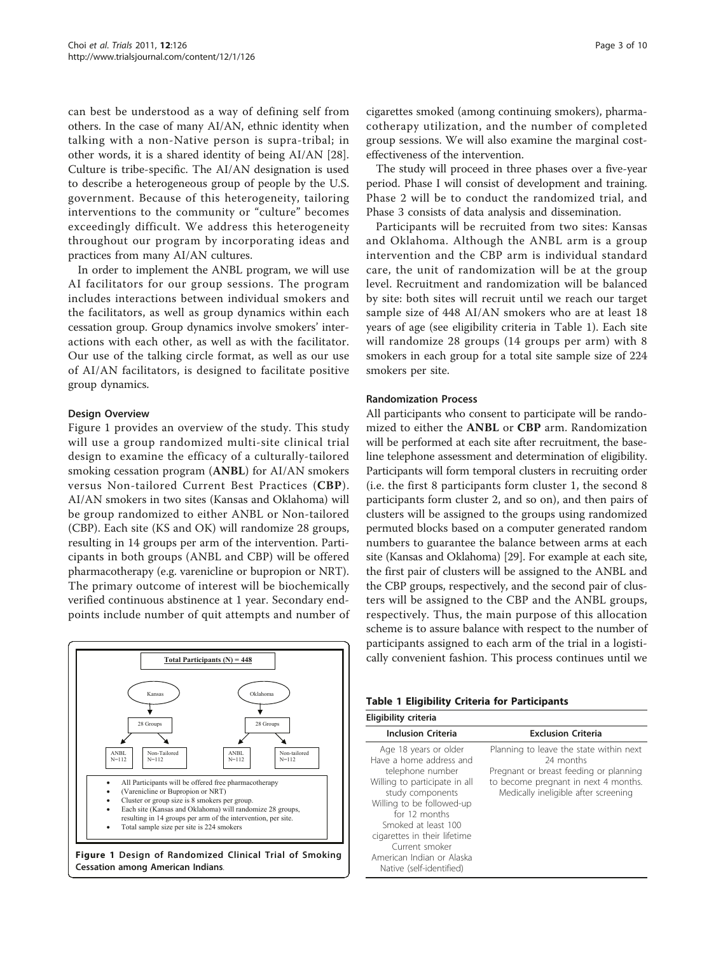can best be understood as a way of defining self from others. In the case of many AI/AN, ethnic identity when talking with a non-Native person is supra-tribal; in other words, it is a shared identity of being AI/AN [\[28](#page-9-0)]. Culture is tribe-specific. The AI/AN designation is used to describe a heterogeneous group of people by the U.S. government. Because of this heterogeneity, tailoring interventions to the community or "culture" becomes exceedingly difficult. We address this heterogeneity throughout our program by incorporating ideas and practices from many AI/AN cultures.

In order to implement the ANBL program, we will use AI facilitators for our group sessions. The program includes interactions between individual smokers and the facilitators, as well as group dynamics within each cessation group. Group dynamics involve smokers' interactions with each other, as well as with the facilitator. Our use of the talking circle format, as well as our use of AI/AN facilitators, is designed to facilitate positive group dynamics.

## Design Overview

Figure 1 provides an overview of the study. This study will use a group randomized multi-site clinical trial design to examine the efficacy of a culturally-tailored smoking cessation program (ANBL) for AI/AN smokers versus Non-tailored Current Best Practices (CBP). AI/AN smokers in two sites (Kansas and Oklahoma) will be group randomized to either ANBL or Non-tailored (CBP). Each site (KS and OK) will randomize 28 groups, resulting in 14 groups per arm of the intervention. Participants in both groups (ANBL and CBP) will be offered pharmacotherapy (e.g. varenicline or bupropion or NRT). The primary outcome of interest will be biochemically verified continuous abstinence at 1 year. Secondary endpoints include number of quit attempts and number of



cigarettes smoked (among continuing smokers), pharmacotherapy utilization, and the number of completed group sessions. We will also examine the marginal costeffectiveness of the intervention.

The study will proceed in three phases over a five-year period. Phase I will consist of development and training. Phase 2 will be to conduct the randomized trial, and Phase 3 consists of data analysis and dissemination.

Participants will be recruited from two sites: Kansas and Oklahoma. Although the ANBL arm is a group intervention and the CBP arm is individual standard care, the unit of randomization will be at the group level. Recruitment and randomization will be balanced by site: both sites will recruit until we reach our target sample size of 448 AI/AN smokers who are at least 18 years of age (see eligibility criteria in Table 1). Each site will randomize 28 groups (14 groups per arm) with 8 smokers in each group for a total site sample size of 224 smokers per site.

#### Randomization Process

All participants who consent to participate will be randomized to either the ANBL or CBP arm. Randomization will be performed at each site after recruitment, the baseline telephone assessment and determination of eligibility. Participants will form temporal clusters in recruiting order (i.e. the first 8 participants form cluster 1, the second 8 participants form cluster 2, and so on), and then pairs of clusters will be assigned to the groups using randomized permuted blocks based on a computer generated random numbers to guarantee the balance between arms at each site (Kansas and Oklahoma) [\[29\]](#page-9-0). For example at each site, the first pair of clusters will be assigned to the ANBL and the CBP groups, respectively, and the second pair of clusters will be assigned to the CBP and the ANBL groups, respectively. Thus, the main purpose of this allocation scheme is to assure balance with respect to the number of participants assigned to each arm of the trial in a logistically convenient fashion. This process continues until we

| Eligibility criteria                                                                                                                                                                                                                                                                                      |                                                                                                                                                                                |  |  |  |  |
|-----------------------------------------------------------------------------------------------------------------------------------------------------------------------------------------------------------------------------------------------------------------------------------------------------------|--------------------------------------------------------------------------------------------------------------------------------------------------------------------------------|--|--|--|--|
| <b>Inclusion Criteria</b>                                                                                                                                                                                                                                                                                 | <b>Exclusion Criteria</b>                                                                                                                                                      |  |  |  |  |
| Age 18 years or older<br>Have a home address and<br>telephone number<br>Willing to participate in all<br>study components<br>Willing to be followed-up<br>for 12 months<br>Smoked at least 100<br>cigarettes in their lifetime<br>Current smoker<br>American Indian or Alaska<br>Native (self-identified) | Planning to leave the state within next<br>24 months<br>Pregnant or breast feeding or planning<br>to become pregnant in next 4 months.<br>Medically ineligible after screening |  |  |  |  |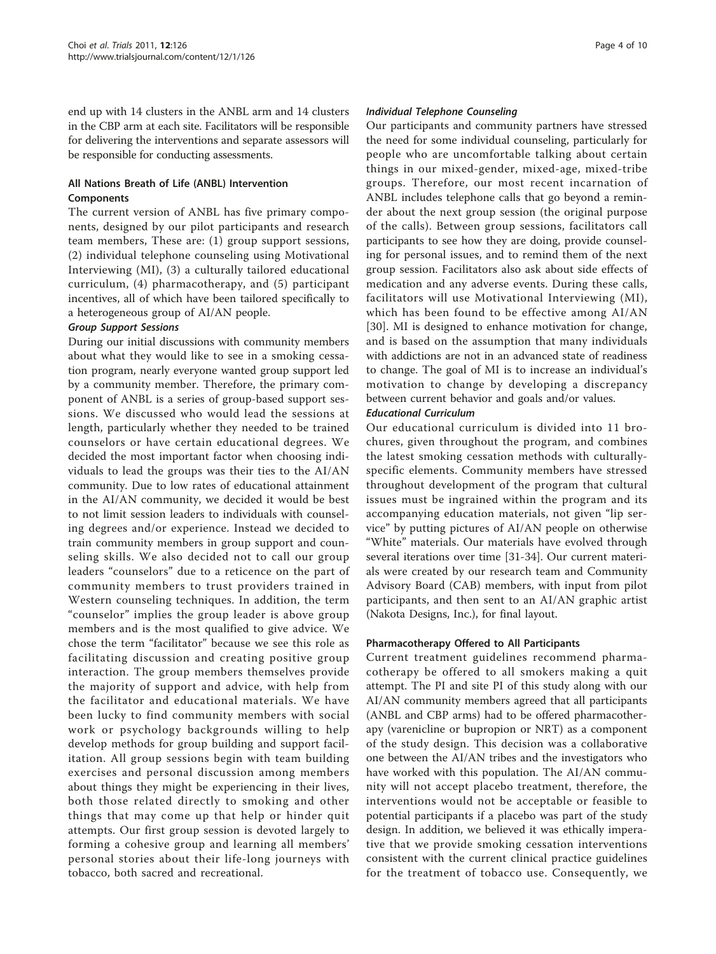end up with 14 clusters in the ANBL arm and 14 clusters in the CBP arm at each site. Facilitators will be responsible for delivering the interventions and separate assessors will be responsible for conducting assessments.

## All Nations Breath of Life (ANBL) Intervention Components

The current version of ANBL has five primary components, designed by our pilot participants and research team members, These are: (1) group support sessions, (2) individual telephone counseling using Motivational Interviewing (MI), (3) a culturally tailored educational curriculum, (4) pharmacotherapy, and (5) participant incentives, all of which have been tailored specifically to a heterogeneous group of AI/AN people.

## Group Support Sessions

During our initial discussions with community members about what they would like to see in a smoking cessation program, nearly everyone wanted group support led by a community member. Therefore, the primary component of ANBL is a series of group-based support sessions. We discussed who would lead the sessions at length, particularly whether they needed to be trained counselors or have certain educational degrees. We decided the most important factor when choosing individuals to lead the groups was their ties to the AI/AN community. Due to low rates of educational attainment in the AI/AN community, we decided it would be best to not limit session leaders to individuals with counseling degrees and/or experience. Instead we decided to train community members in group support and counseling skills. We also decided not to call our group leaders "counselors" due to a reticence on the part of community members to trust providers trained in Western counseling techniques. In addition, the term "counselor" implies the group leader is above group members and is the most qualified to give advice. We chose the term "facilitator" because we see this role as facilitating discussion and creating positive group interaction. The group members themselves provide the majority of support and advice, with help from the facilitator and educational materials. We have been lucky to find community members with social work or psychology backgrounds willing to help develop methods for group building and support facilitation. All group sessions begin with team building exercises and personal discussion among members about things they might be experiencing in their lives, both those related directly to smoking and other things that may come up that help or hinder quit attempts. Our first group session is devoted largely to forming a cohesive group and learning all members' personal stories about their life-long journeys with tobacco, both sacred and recreational.

#### Individual Telephone Counseling

Our participants and community partners have stressed the need for some individual counseling, particularly for people who are uncomfortable talking about certain things in our mixed-gender, mixed-age, mixed-tribe groups. Therefore, our most recent incarnation of ANBL includes telephone calls that go beyond a reminder about the next group session (the original purpose of the calls). Between group sessions, facilitators call participants to see how they are doing, provide counseling for personal issues, and to remind them of the next group session. Facilitators also ask about side effects of medication and any adverse events. During these calls, facilitators will use Motivational Interviewing (MI), which has been found to be effective among AI/AN [[30](#page-9-0)]. MI is designed to enhance motivation for change, and is based on the assumption that many individuals with addictions are not in an advanced state of readiness to change. The goal of MI is to increase an individual's motivation to change by developing a discrepancy between current behavior and goals and/or values.

## Educational Curriculum

Our educational curriculum is divided into 11 brochures, given throughout the program, and combines the latest smoking cessation methods with culturallyspecific elements. Community members have stressed throughout development of the program that cultural issues must be ingrained within the program and its accompanying education materials, not given "lip service" by putting pictures of AI/AN people on otherwise "White" materials. Our materials have evolved through several iterations over time [\[31](#page-9-0)-[34\]](#page-9-0). Our current materials were created by our research team and Community Advisory Board (CAB) members, with input from pilot participants, and then sent to an AI/AN graphic artist (Nakota Designs, Inc.), for final layout.

## Pharmacotherapy Offered to All Participants

Current treatment guidelines recommend pharmacotherapy be offered to all smokers making a quit attempt. The PI and site PI of this study along with our AI/AN community members agreed that all participants (ANBL and CBP arms) had to be offered pharmacotherapy (varenicline or bupropion or NRT) as a component of the study design. This decision was a collaborative one between the AI/AN tribes and the investigators who have worked with this population. The AI/AN community will not accept placebo treatment, therefore, the interventions would not be acceptable or feasible to potential participants if a placebo was part of the study design. In addition, we believed it was ethically imperative that we provide smoking cessation interventions consistent with the current clinical practice guidelines for the treatment of tobacco use. Consequently, we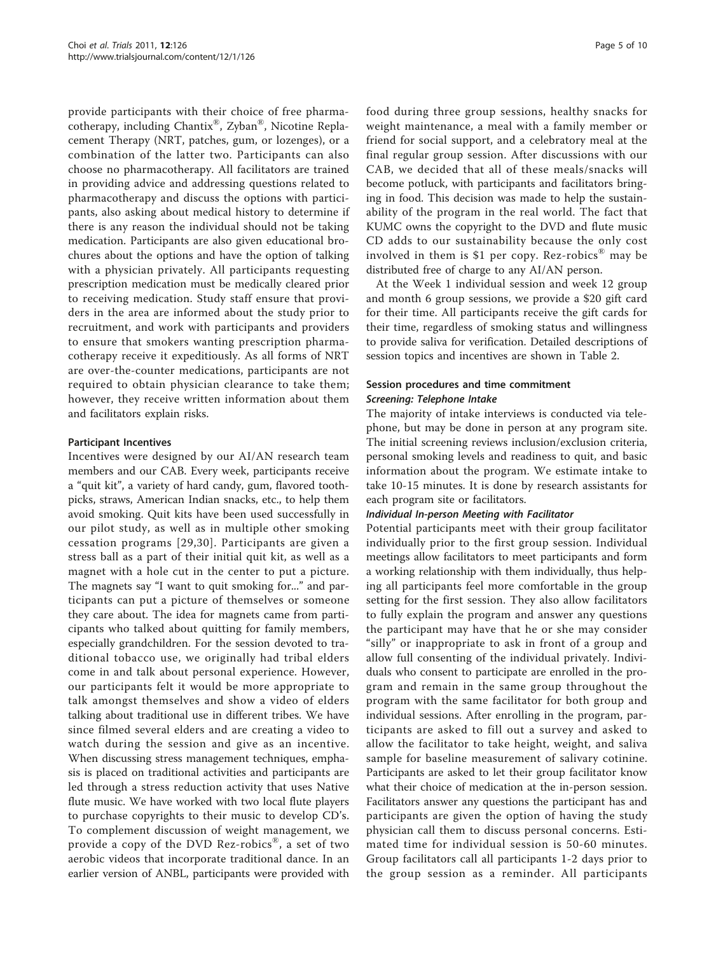provide participants with their choice of free pharmacotherapy, including Chantix®, Zyban®, Nicotine Replacement Therapy (NRT, patches, gum, or lozenges), or a combination of the latter two. Participants can also choose no pharmacotherapy. All facilitators are trained in providing advice and addressing questions related to pharmacotherapy and discuss the options with participants, also asking about medical history to determine if there is any reason the individual should not be taking medication. Participants are also given educational brochures about the options and have the option of talking with a physician privately. All participants requesting prescription medication must be medically cleared prior to receiving medication. Study staff ensure that providers in the area are informed about the study prior to recruitment, and work with participants and providers to ensure that smokers wanting prescription pharmacotherapy receive it expeditiously. As all forms of NRT are over-the-counter medications, participants are not required to obtain physician clearance to take them; however, they receive written information about them and facilitators explain risks.

## Participant Incentives

Incentives were designed by our AI/AN research team members and our CAB. Every week, participants receive a "quit kit", a variety of hard candy, gum, flavored toothpicks, straws, American Indian snacks, etc., to help them avoid smoking. Quit kits have been used successfully in our pilot study, as well as in multiple other smoking cessation programs [[29](#page-9-0),[30](#page-9-0)]. Participants are given a stress ball as a part of their initial quit kit, as well as a magnet with a hole cut in the center to put a picture. The magnets say "I want to quit smoking for..." and participants can put a picture of themselves or someone they care about. The idea for magnets came from participants who talked about quitting for family members, especially grandchildren. For the session devoted to traditional tobacco use, we originally had tribal elders come in and talk about personal experience. However, our participants felt it would be more appropriate to talk amongst themselves and show a video of elders talking about traditional use in different tribes. We have since filmed several elders and are creating a video to watch during the session and give as an incentive. When discussing stress management techniques, emphasis is placed on traditional activities and participants are led through a stress reduction activity that uses Native flute music. We have worked with two local flute players to purchase copyrights to their music to develop CD's. To complement discussion of weight management, we provide a copy of the DVD Rez-robics®, a set of two aerobic videos that incorporate traditional dance. In an earlier version of ANBL, participants were provided with food during three group sessions, healthy snacks for weight maintenance, a meal with a family member or friend for social support, and a celebratory meal at the final regular group session. After discussions with our CAB, we decided that all of these meals/snacks will become potluck, with participants and facilitators bringing in food. This decision was made to help the sustainability of the program in the real world. The fact that KUMC owns the copyright to the DVD and flute music CD adds to our sustainability because the only cost involved in them is \$1 per copy. Rez-robics<sup>®</sup> may be distributed free of charge to any AI/AN person.

At the Week 1 individual session and week 12 group and month 6 group sessions, we provide a \$20 gift card for their time. All participants receive the gift cards for their time, regardless of smoking status and willingness to provide saliva for verification. Detailed descriptions of session topics and incentives are shown in Table [2](#page-5-0).

## Session procedures and time commitment Screening: Telephone Intake

The majority of intake interviews is conducted via telephone, but may be done in person at any program site. The initial screening reviews inclusion/exclusion criteria, personal smoking levels and readiness to quit, and basic information about the program. We estimate intake to take 10-15 minutes. It is done by research assistants for each program site or facilitators.

#### Individual In-person Meeting with Facilitator

Potential participants meet with their group facilitator individually prior to the first group session. Individual meetings allow facilitators to meet participants and form a working relationship with them individually, thus helping all participants feel more comfortable in the group setting for the first session. They also allow facilitators to fully explain the program and answer any questions the participant may have that he or she may consider "silly" or inappropriate to ask in front of a group and allow full consenting of the individual privately. Individuals who consent to participate are enrolled in the program and remain in the same group throughout the program with the same facilitator for both group and individual sessions. After enrolling in the program, participants are asked to fill out a survey and asked to allow the facilitator to take height, weight, and saliva sample for baseline measurement of salivary cotinine. Participants are asked to let their group facilitator know what their choice of medication at the in-person session. Facilitators answer any questions the participant has and participants are given the option of having the study physician call them to discuss personal concerns. Estimated time for individual session is 50-60 minutes. Group facilitators call all participants 1-2 days prior to the group session as a reminder. All participants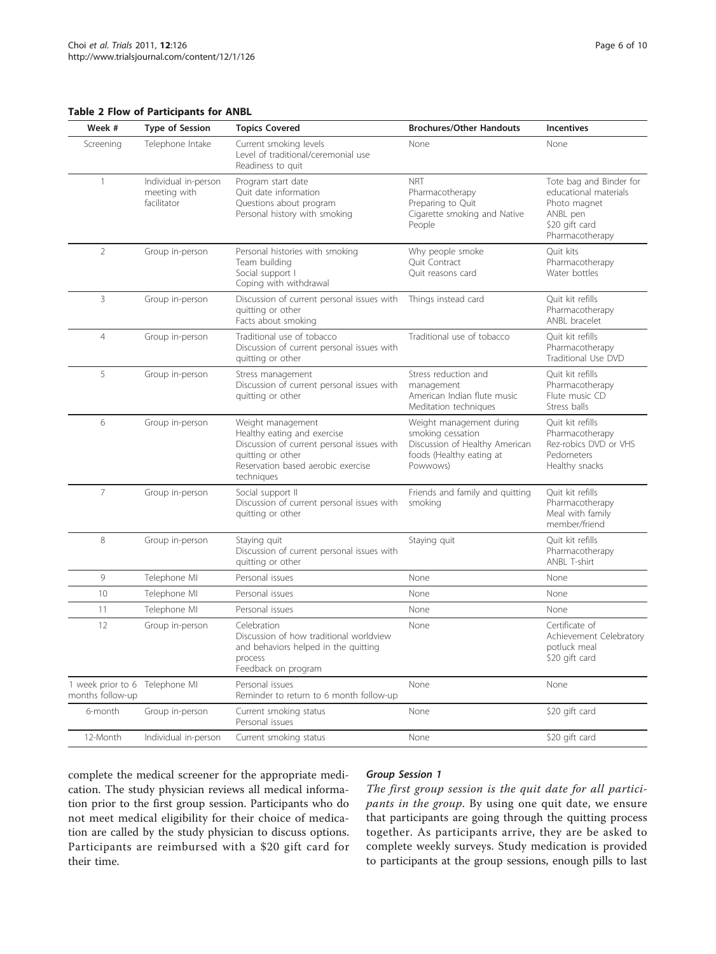#### <span id="page-5-0"></span>Table 2 Flow of Participants for ANBL

| Week #                                             | <b>Type of Session</b>                              | <b>Topics Covered</b>                                                                                                                                                   | <b>Brochures/Other Handouts</b>                                                                                         | <b>Incentives</b>                                                                                                 |
|----------------------------------------------------|-----------------------------------------------------|-------------------------------------------------------------------------------------------------------------------------------------------------------------------------|-------------------------------------------------------------------------------------------------------------------------|-------------------------------------------------------------------------------------------------------------------|
| Screening                                          | Telephone Intake                                    | Current smoking levels<br>Level of traditional/ceremonial use<br>Readiness to quit                                                                                      | None                                                                                                                    | None                                                                                                              |
| $\mathbf{1}$                                       | Individual in-person<br>meeting with<br>facilitator | Program start date<br>Quit date information<br>Questions about program<br>Personal history with smoking                                                                 | <b>NRT</b><br>Pharmacotherapy<br>Preparing to Quit<br>Cigarette smoking and Native<br>People                            | Tote bag and Binder for<br>educational materials<br>Photo magnet<br>ANBL pen<br>\$20 gift card<br>Pharmacotherapy |
| $\overline{2}$                                     | Group in-person                                     | Personal histories with smoking<br>Team building<br>Social support I<br>Coping with withdrawal                                                                          | Why people smoke<br>Quit Contract<br>Quit reasons card                                                                  | Ouit kits<br>Pharmacotherapy<br>Water bottles                                                                     |
| 3                                                  | Group in-person                                     | Discussion of current personal issues with<br>quitting or other<br>Facts about smoking                                                                                  | Things instead card                                                                                                     | Ouit kit refills<br>Pharmacotherapy<br>ANBL bracelet                                                              |
| $\overline{4}$                                     | Group in-person                                     | Traditional use of tobacco<br>Discussion of current personal issues with<br>quitting or other                                                                           | Traditional use of tobacco                                                                                              | Ouit kit refills<br>Pharmacotherapy<br>Traditional Use DVD                                                        |
| 5                                                  | Group in-person                                     | Stress management<br>Discussion of current personal issues with<br>quitting or other                                                                                    | Stress reduction and<br>management<br>American Indian flute music<br>Meditation techniques                              | Quit kit refills<br>Pharmacotherapy<br>Flute music CD<br>Stress balls                                             |
| 6                                                  | Group in-person                                     | Weight management<br>Healthy eating and exercise<br>Discussion of current personal issues with<br>quitting or other<br>Reservation based aerobic exercise<br>techniques | Weight management during<br>smoking cessation<br>Discussion of Healthy American<br>foods (Healthy eating at<br>Powwows) | Quit kit refills<br>Pharmacotherapy<br>Rez-robics DVD or VHS<br>Pedometers<br>Healthy snacks                      |
| $\overline{7}$                                     | Group in-person                                     | Social support II<br>Discussion of current personal issues with<br>quitting or other                                                                                    | Friends and family and quitting<br>smoking                                                                              | Quit kit refills<br>Pharmacotherapy<br>Meal with family<br>member/friend                                          |
| 8                                                  | Group in-person                                     | Staying quit<br>Discussion of current personal issues with<br>quitting or other                                                                                         | Staying quit                                                                                                            | Ouit kit refills<br>Pharmacotherapy<br>ANBL T-shirt                                                               |
| 9                                                  | Telephone MI                                        | Personal issues                                                                                                                                                         | None                                                                                                                    | None                                                                                                              |
| 10                                                 | Telephone MI                                        | Personal issues                                                                                                                                                         | None                                                                                                                    | None                                                                                                              |
| 11                                                 | Telephone MI                                        | Personal issues                                                                                                                                                         | None                                                                                                                    | None                                                                                                              |
| 12                                                 | Group in-person                                     | Celebration<br>Discussion of how traditional worldview<br>and behaviors helped in the quitting<br>process<br>Feedback on program                                        | None                                                                                                                    | Certificate of<br>Achievement Celebratory<br>potluck meal<br>\$20 gift card                                       |
| 1 week prior to 6 Telephone MI<br>months follow-up |                                                     | Personal issues<br>Reminder to return to 6 month follow-up                                                                                                              | None                                                                                                                    | None                                                                                                              |
| 6-month                                            | Group in-person                                     | Current smoking status<br>Personal issues                                                                                                                               | None                                                                                                                    | \$20 gift card                                                                                                    |
| 12-Month                                           | Individual in-person                                | Current smoking status                                                                                                                                                  | None                                                                                                                    | \$20 gift card                                                                                                    |

complete the medical screener for the appropriate medication. The study physician reviews all medical information prior to the first group session. Participants who do not meet medical eligibility for their choice of medication are called by the study physician to discuss options. Participants are reimbursed with a \$20 gift card for their time.

## Group Session 1

The first group session is the quit date for all participants in the group. By using one quit date, we ensure that participants are going through the quitting process together. As participants arrive, they are be asked to complete weekly surveys. Study medication is provided to participants at the group sessions, enough pills to last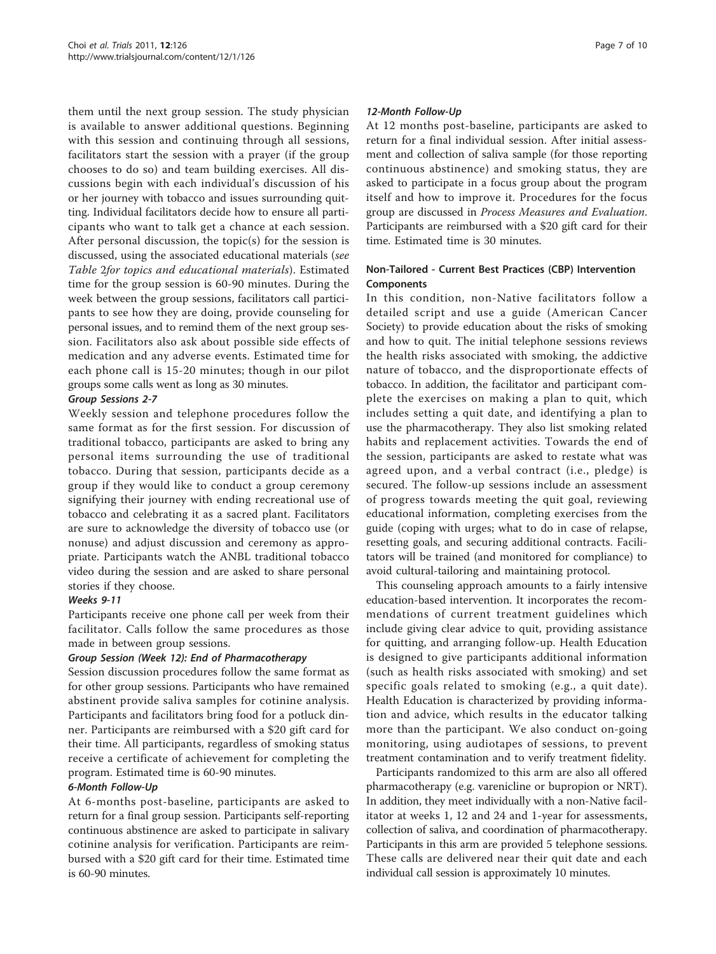them until the next group session. The study physician is available to answer additional questions. Beginning with this session and continuing through all sessions, facilitators start the session with a prayer (if the group chooses to do so) and team building exercises. All discussions begin with each individual's discussion of his or her journey with tobacco and issues surrounding quitting. Individual facilitators decide how to ensure all participants who want to talk get a chance at each session. After personal discussion, the topic(s) for the session is discussed, using the associated educational materials (see Table [2](#page-5-0)for topics and educational materials). Estimated time for the group session is 60-90 minutes. During the week between the group sessions, facilitators call participants to see how they are doing, provide counseling for personal issues, and to remind them of the next group session. Facilitators also ask about possible side effects of medication and any adverse events. Estimated time for each phone call is 15-20 minutes; though in our pilot groups some calls went as long as 30 minutes.

## Group Sessions 2-7

Weekly session and telephone procedures follow the same format as for the first session. For discussion of traditional tobacco, participants are asked to bring any personal items surrounding the use of traditional tobacco. During that session, participants decide as a group if they would like to conduct a group ceremony signifying their journey with ending recreational use of tobacco and celebrating it as a sacred plant. Facilitators are sure to acknowledge the diversity of tobacco use (or nonuse) and adjust discussion and ceremony as appropriate. Participants watch the ANBL traditional tobacco video during the session and are asked to share personal stories if they choose.

## Weeks 9-11

Participants receive one phone call per week from their facilitator. Calls follow the same procedures as those made in between group sessions.

## Group Session (Week 12): End of Pharmacotherapy

Session discussion procedures follow the same format as for other group sessions. Participants who have remained abstinent provide saliva samples for cotinine analysis. Participants and facilitators bring food for a potluck dinner. Participants are reimbursed with a \$20 gift card for their time. All participants, regardless of smoking status receive a certificate of achievement for completing the program. Estimated time is 60-90 minutes.

## 6-Month Follow-Up

At 6-months post-baseline, participants are asked to return for a final group session. Participants self-reporting continuous abstinence are asked to participate in salivary cotinine analysis for verification. Participants are reimbursed with a \$20 gift card for their time. Estimated time is 60-90 minutes.

## 12-Month Follow-Up

At 12 months post-baseline, participants are asked to return for a final individual session. After initial assessment and collection of saliva sample (for those reporting continuous abstinence) and smoking status, they are asked to participate in a focus group about the program itself and how to improve it. Procedures for the focus group are discussed in Process Measures and Evaluation. Participants are reimbursed with a \$20 gift card for their time. Estimated time is 30 minutes.

## Non-Tailored - Current Best Practices (CBP) Intervention **Components**

In this condition, non-Native facilitators follow a detailed script and use a guide (American Cancer Society) to provide education about the risks of smoking and how to quit. The initial telephone sessions reviews the health risks associated with smoking, the addictive nature of tobacco, and the disproportionate effects of tobacco. In addition, the facilitator and participant complete the exercises on making a plan to quit, which includes setting a quit date, and identifying a plan to use the pharmacotherapy. They also list smoking related habits and replacement activities. Towards the end of the session, participants are asked to restate what was agreed upon, and a verbal contract (i.e., pledge) is secured. The follow-up sessions include an assessment of progress towards meeting the quit goal, reviewing educational information, completing exercises from the guide (coping with urges; what to do in case of relapse, resetting goals, and securing additional contracts. Facilitators will be trained (and monitored for compliance) to avoid cultural-tailoring and maintaining protocol.

This counseling approach amounts to a fairly intensive education-based intervention. It incorporates the recommendations of current treatment guidelines which include giving clear advice to quit, providing assistance for quitting, and arranging follow-up. Health Education is designed to give participants additional information (such as health risks associated with smoking) and set specific goals related to smoking (e.g., a quit date). Health Education is characterized by providing information and advice, which results in the educator talking more than the participant. We also conduct on-going monitoring, using audiotapes of sessions, to prevent treatment contamination and to verify treatment fidelity.

Participants randomized to this arm are also all offered pharmacotherapy (e.g. varenicline or bupropion or NRT). In addition, they meet individually with a non-Native facilitator at weeks 1, 12 and 24 and 1-year for assessments, collection of saliva, and coordination of pharmacotherapy. Participants in this arm are provided 5 telephone sessions. These calls are delivered near their quit date and each individual call session is approximately 10 minutes.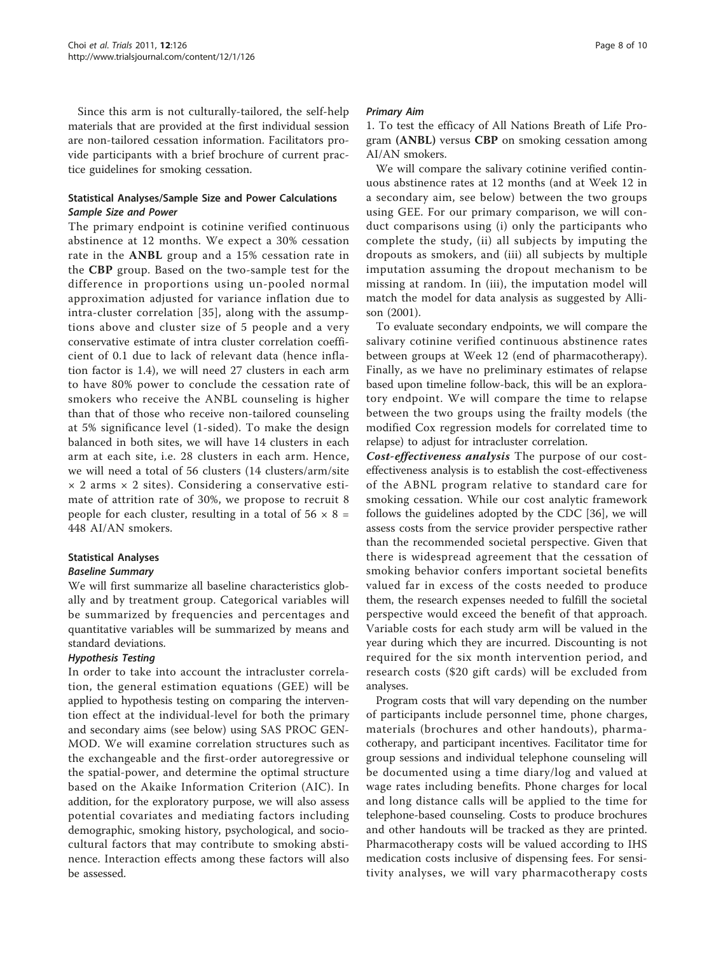Since this arm is not culturally-tailored, the self-help materials that are provided at the first individual session are non-tailored cessation information. Facilitators provide participants with a brief brochure of current practice guidelines for smoking cessation.

## Statistical Analyses/Sample Size and Power Calculations Sample Size and Power

The primary endpoint is cotinine verified continuous abstinence at 12 months. We expect a 30% cessation rate in the ANBL group and a 15% cessation rate in the CBP group. Based on the two-sample test for the difference in proportions using un-pooled normal approximation adjusted for variance inflation due to intra-cluster correlation [[35](#page-9-0)], along with the assumptions above and cluster size of 5 people and a very conservative estimate of intra cluster correlation coefficient of 0.1 due to lack of relevant data (hence inflation factor is 1.4), we will need 27 clusters in each arm to have 80% power to conclude the cessation rate of smokers who receive the ANBL counseling is higher than that of those who receive non-tailored counseling at 5% significance level (1-sided). To make the design balanced in both sites, we will have 14 clusters in each arm at each site, i.e. 28 clusters in each arm. Hence, we will need a total of 56 clusters (14 clusters/arm/site  $\times$  2 arms  $\times$  2 sites). Considering a conservative estimate of attrition rate of 30%, we propose to recruit 8 people for each cluster, resulting in a total of  $56 \times 8 =$ 448 AI/AN smokers.

## Statistical Analyses

## Baseline Summary

We will first summarize all baseline characteristics globally and by treatment group. Categorical variables will be summarized by frequencies and percentages and quantitative variables will be summarized by means and standard deviations.

## Hypothesis Testing

In order to take into account the intracluster correlation, the general estimation equations (GEE) will be applied to hypothesis testing on comparing the intervention effect at the individual-level for both the primary and secondary aims (see below) using SAS PROC GEN-MOD. We will examine correlation structures such as the exchangeable and the first-order autoregressive or the spatial-power, and determine the optimal structure based on the Akaike Information Criterion (AIC). In addition, for the exploratory purpose, we will also assess potential covariates and mediating factors including demographic, smoking history, psychological, and sociocultural factors that may contribute to smoking abstinence. Interaction effects among these factors will also be assessed.

## Primary Aim

1. To test the efficacy of All Nations Breath of Life Program (ANBL) versus CBP on smoking cessation among AI/AN smokers.

We will compare the salivary cotinine verified continuous abstinence rates at 12 months (and at Week 12 in a secondary aim, see below) between the two groups using GEE. For our primary comparison, we will conduct comparisons using (i) only the participants who complete the study, (ii) all subjects by imputing the dropouts as smokers, and (iii) all subjects by multiple imputation assuming the dropout mechanism to be missing at random. In (iii), the imputation model will match the model for data analysis as suggested by Allison (2001).

To evaluate secondary endpoints, we will compare the salivary cotinine verified continuous abstinence rates between groups at Week 12 (end of pharmacotherapy). Finally, as we have no preliminary estimates of relapse based upon timeline follow-back, this will be an exploratory endpoint. We will compare the time to relapse between the two groups using the frailty models (the modified Cox regression models for correlated time to relapse) to adjust for intracluster correlation.

Cost-effectiveness analysis The purpose of our costeffectiveness analysis is to establish the cost-effectiveness of the ABNL program relative to standard care for smoking cessation. While our cost analytic framework follows the guidelines adopted by the CDC [[36\]](#page-9-0), we will assess costs from the service provider perspective rather than the recommended societal perspective. Given that there is widespread agreement that the cessation of smoking behavior confers important societal benefits valued far in excess of the costs needed to produce them, the research expenses needed to fulfill the societal perspective would exceed the benefit of that approach. Variable costs for each study arm will be valued in the year during which they are incurred. Discounting is not required for the six month intervention period, and research costs (\$20 gift cards) will be excluded from analyses.

Program costs that will vary depending on the number of participants include personnel time, phone charges, materials (brochures and other handouts), pharmacotherapy, and participant incentives. Facilitator time for group sessions and individual telephone counseling will be documented using a time diary/log and valued at wage rates including benefits. Phone charges for local and long distance calls will be applied to the time for telephone-based counseling. Costs to produce brochures and other handouts will be tracked as they are printed. Pharmacotherapy costs will be valued according to IHS medication costs inclusive of dispensing fees. For sensitivity analyses, we will vary pharmacotherapy costs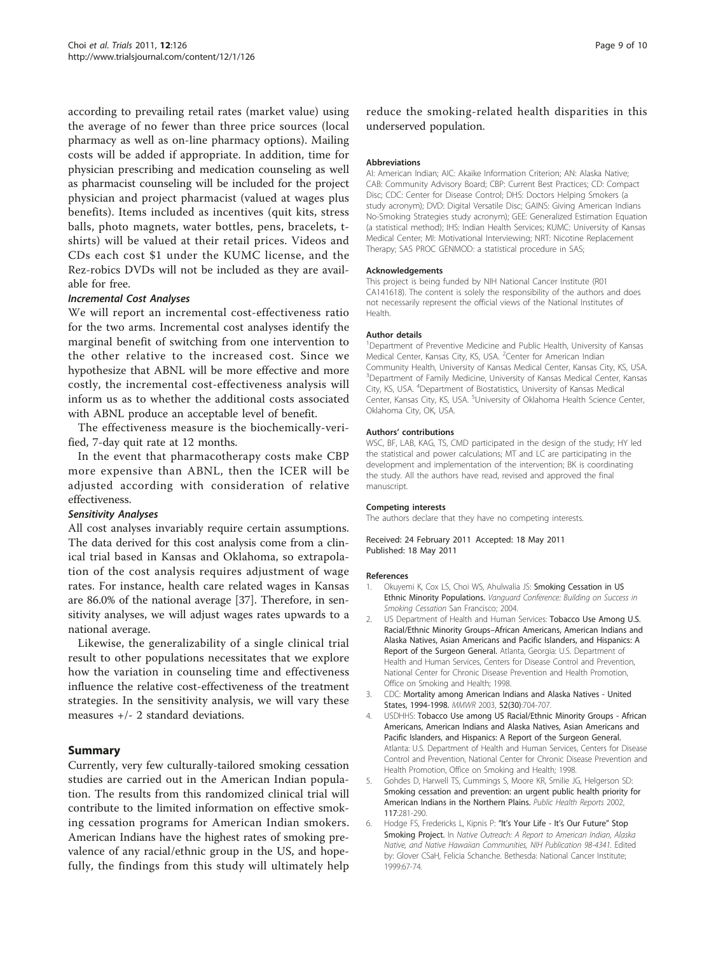<span id="page-8-0"></span>according to prevailing retail rates (market value) using the average of no fewer than three price sources (local pharmacy as well as on-line pharmacy options). Mailing costs will be added if appropriate. In addition, time for physician prescribing and medication counseling as well as pharmacist counseling will be included for the project physician and project pharmacist (valued at wages plus benefits). Items included as incentives (quit kits, stress balls, photo magnets, water bottles, pens, bracelets, tshirts) will be valued at their retail prices. Videos and CDs each cost \$1 under the KUMC license, and the Rez-robics DVDs will not be included as they are available for free.

#### Incremental Cost Analyses

We will report an incremental cost-effectiveness ratio for the two arms. Incremental cost analyses identify the marginal benefit of switching from one intervention to the other relative to the increased cost. Since we hypothesize that ABNL will be more effective and more costly, the incremental cost-effectiveness analysis will inform us as to whether the additional costs associated with ABNL produce an acceptable level of benefit.

The effectiveness measure is the biochemically-verified, 7-day quit rate at 12 months.

In the event that pharmacotherapy costs make CBP more expensive than ABNL, then the ICER will be adjusted according with consideration of relative effectiveness.

#### Sensitivity Analyses

All cost analyses invariably require certain assumptions. The data derived for this cost analysis come from a clinical trial based in Kansas and Oklahoma, so extrapolation of the cost analysis requires adjustment of wage rates. For instance, health care related wages in Kansas are 86.0% of the national average [[37](#page-9-0)]. Therefore, in sensitivity analyses, we will adjust wages rates upwards to a national average.

Likewise, the generalizability of a single clinical trial result to other populations necessitates that we explore how the variation in counseling time and effectiveness influence the relative cost-effectiveness of the treatment strategies. In the sensitivity analysis, we will vary these measures +/- 2 standard deviations.

## Summary

Currently, very few culturally-tailored smoking cessation studies are carried out in the American Indian population. The results from this randomized clinical trial will contribute to the limited information on effective smoking cessation programs for American Indian smokers. American Indians have the highest rates of smoking prevalence of any racial/ethnic group in the US, and hopefully, the findings from this study will ultimately help

reduce the smoking-related health disparities in this underserved population.

#### Abbreviations

AI: American Indian; AIC: Akaike Information Criterion; AN: Alaska Native; CAB: Community Advisory Board; CBP: Current Best Practices; CD: Compact Disc; CDC: Center for Disease Control; DHS: Doctors Helping Smokers (a study acronym); DVD: Digital Versatile Disc; GAINS: Giving American Indians No-Smoking Strategies study acronym); GEE: Generalized Estimation Equation (a statistical method); IHS: Indian Health Services; KUMC: University of Kansas Medical Center; MI: Motivational Interviewing; NRT: Nicotine Replacement Therapy; SAS PROC GENMOD: a statistical procedure in SAS;

#### Acknowledgements

This project is being funded by NIH National Cancer Institute (R01 CA141618). The content is solely the responsibility of the authors and does not necessarily represent the official views of the National Institutes of Health.

#### Author details

<sup>1</sup>Department of Preventive Medicine and Public Health, University of Kansas Medical Center, Kansas City, KS, USA. <sup>2</sup>Center for American Indian Community Health, University of Kansas Medical Center, Kansas City, KS, USA. <sup>3</sup>Department of Family Medicine, University of Kansas Medical Center, Kansas City, KS, USA. <sup>4</sup>Department of Biostatistics, University of Kansas Medical Center, Kansas City, KS, USA. <sup>5</sup>University of Oklahoma Health Science Center Oklahoma City, OK, USA.

#### Authors' contributions

WSC, BF, LAB, KAG, TS, CMD participated in the design of the study; HY led the statistical and power calculations; MT and LC are participating in the development and implementation of the intervention; BK is coordinating the study. All the authors have read, revised and approved the final manuscript.

#### Competing interests

The authors declare that they have no competing interests.

Received: 24 February 2011 Accepted: 18 May 2011 Published: 18 May 2011

#### References

- 1. Okuyemi K, Cox LS, Choi WS, Ahulwalia JS: Smoking Cessation in US Ethnic Minority Populations. Vanguard Conference: Building on Success in Smoking Cessation San Francisco; 2004.
- 2. US Department of Health and Human Services: Tobacco Use Among U.S. Racial/Ethnic Minority Groups–African Americans, American Indians and Alaska Natives, Asian Americans and Pacific Islanders, and Hispanics: A Report of the Surgeon General. Atlanta, Georgia: U.S. Department of Health and Human Services, Centers for Disease Control and Prevention, National Center for Chronic Disease Prevention and Health Promotion, Office on Smoking and Health; 1998.
- 3. CDC: [Mortality among American Indians and Alaska Natives United](http://www.ncbi.nlm.nih.gov/pubmed/12894057?dopt=Abstract) [States, 1994-1998.](http://www.ncbi.nlm.nih.gov/pubmed/12894057?dopt=Abstract) MMWR 2003, 52(30):704-707.
- 4. USDHHS: Tobacco Use among US Racial/Ethnic Minority Groups African Americans, American Indians and Alaska Natives, Asian Americans and Pacific Islanders, and Hispanics: A Report of the Surgeon General. Atlanta: U.S. Department of Health and Human Services, Centers for Disease Control and Prevention, National Center for Chronic Disease Prevention and Health Promotion, Office on Smoking and Health; 1998.
- 5. Gohdes D, Harwell TS, Cummings S, Moore KR, Smilie JG, Helgerson SD: [Smoking cessation and prevention: an urgent public health priority for](http://www.ncbi.nlm.nih.gov/pubmed/12432139?dopt=Abstract) [American Indians in the Northern Plains.](http://www.ncbi.nlm.nih.gov/pubmed/12432139?dopt=Abstract) Public Health Reports 2002, 117:281-290.
- 6. Hodge FS, Fredericks L, Kipnis P: "It's Your Life It's Our Future" Stop Smoking Project. In Native Outreach: A Report to American Indian, Alaska Native, and Native Hawaiian Communities, NIH Publication 98-4341. Edited by: Glover CSaH, Felicia Schanche. Bethesda: National Cancer Institute; 1999:67-74.